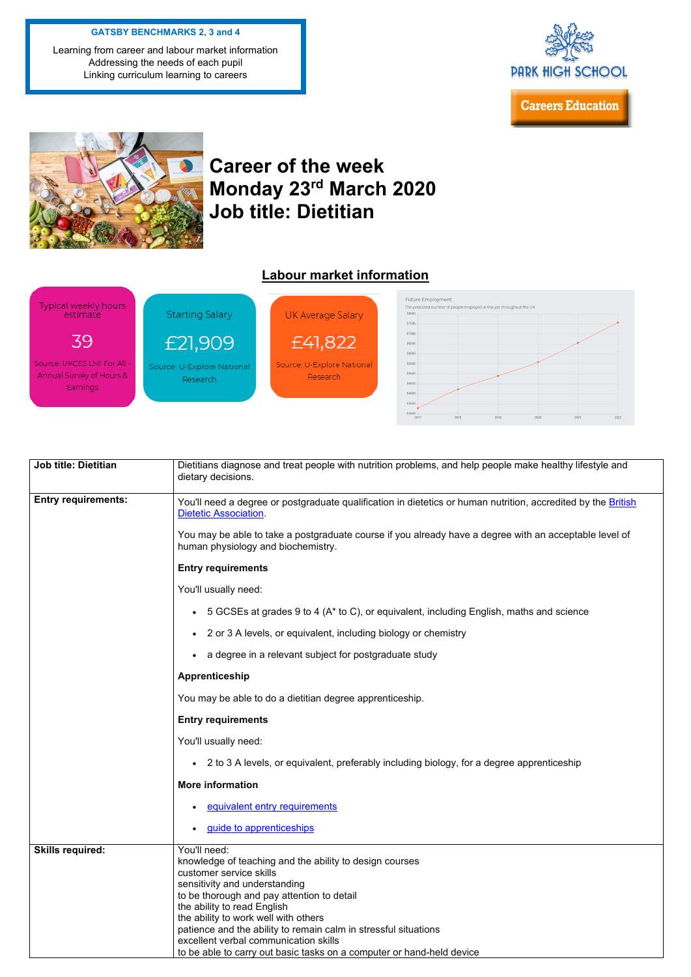## **Career of the week Monday 23rd March 2020 Job title: Dietitian**

## **Labour market information**



| <b>Job title: Dietitian</b> | Dietitians diagnose and treat people with nutrition problems, and help people make healthy lifestyle and<br>dietary decisions.                |
|-----------------------------|-----------------------------------------------------------------------------------------------------------------------------------------------|
| <b>Entry requirements:</b>  | You'll need a degree or postgraduate qualification in dietetics or human nutrition, accredited by the British<br><b>Dietetic Association.</b> |
|                             | You may be able to take a postgraduate course if you already have a degree with an acceptable level of<br>human physiology and biochemistry.  |
|                             | <b>Entry requirements</b>                                                                                                                     |
|                             | You'll usually need:                                                                                                                          |
|                             | 5 GCSEs at grades 9 to 4 (A* to C), or equivalent, including English, maths and science<br>$\bullet$                                          |
|                             | 2 or 3 A levels, or equivalent, including biology or chemistry<br>$\bullet$                                                                   |
|                             | a degree in a relevant subject for postgraduate study<br>$\bullet$                                                                            |
|                             | Apprenticeship                                                                                                                                |
|                             | You may be able to do a dietitian degree apprenticeship.                                                                                      |
|                             | <b>Entry requirements</b>                                                                                                                     |
|                             | Maceditectural de la construction                                                                                                             |

|                         | You'll usually need:                                                                      |
|-------------------------|-------------------------------------------------------------------------------------------|
|                         | 2 to 3 A levels, or equivalent, preferably including biology, for a degree apprenticeship |
|                         | <b>More information</b>                                                                   |
|                         | equivalent entry requirements                                                             |
|                         | guide to apprenticeships                                                                  |
| <b>Skills required:</b> | You'll need:                                                                              |
|                         | knowledge of teaching and the ability to design courses                                   |
|                         | customer service skills                                                                   |
|                         | sensitivity and understanding                                                             |
|                         | to be thorough and pay attention to detail                                                |
|                         | the ability to read English                                                               |
|                         | the ability to work well with others                                                      |
|                         | patience and the ability to remain calm in stressful situations                           |
|                         | excellent verbal communication skills                                                     |
|                         | to be able to carry out basic tasks on a computer or hand-held device                     |

## **GATSBY BENCHMARKS 2, 3 and 4**

Learning from career and labour market information Addressing the needs of each pupil Linking curriculum learning to careers